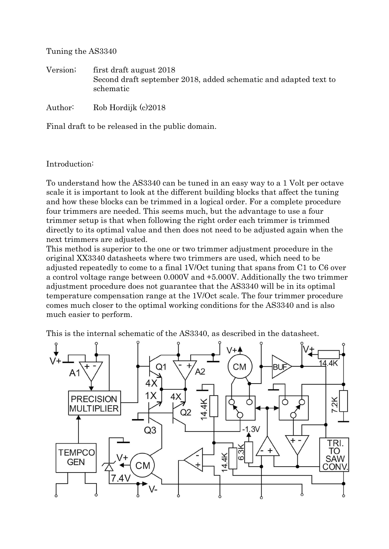Tuning the AS3340

Version; first draft august 2018 Second draft september 2018, added schematic and adapted text to schematic

Author: Rob Hordijk (c)2018

Final draft to be released in the public domain.

### Introduction:

To understand how the AS3340 can be tuned in an easy way to a 1 Volt per octave scale it is important to look at the different building blocks that affect the tuning and how these blocks can be trimmed in a logical order. For a complete procedure four trimmers are needed. This seems much, but the advantage to use a four trimmer setup is that when following the right order each trimmer is trimmed directly to its optimal value and then does not need to be adjusted again when the next trimmers are adjusted.

This method is superior to the one or two trimmer adjustment procedure in the original XX3340 datasheets where two trimmers are used, which need to be adjusted repeatedly to come to a final 1V/Oct tuning that spans from C1 to C6 over a control voltage range between 0.000V and +5.000V. Additionally the two trimmer adjustment procedure does not guarantee that the AS3340 will be in its optimal temperature compensation range at the 1V/Oct scale. The four trimmer procedure comes much closer to the optimal working conditions for the AS3340 and is also much easier to perform.

This is the internal schematic of the AS3340, as described in the datasheet.

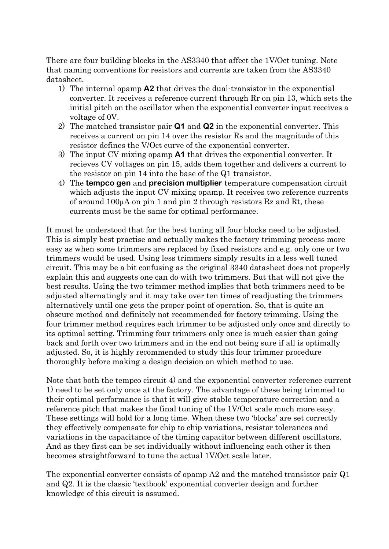There are four building blocks in the AS3340 that affect the 1V/Oct tuning. Note that naming conventions for resistors and currents are taken from the AS3340 datasheet.

- 1) The internal opamp **A2** that drives the dual-transistor in the exponential converter. It receives a reference current through Rr on pin 13, which sets the initial pitch on the oscillator when the exponential converter input receives a voltage of 0V.
- 2) The matched transistor pair **Q1** and **Q2** in the exponential converter. This receives a current on pin 14 over the resistor Rs and the magnitude of this resistor defines the V/Oct curve of the exponential converter.
- 3) The input CV mixing opamp **A1** that drives the exponential converter. It recieves CV voltages on pin 15, adds them together and delivers a current to the resistor on pin 14 into the base of the Q1 transistor.
- 4) The **tempco gen** and **precision multiplier** temperature compensation circuit which adjusts the input CV mixing opamp. It receives two reference currents of around  $100\mu A$  on pin 1 and pin 2 through resistors Rz and Rt, these currents must be the same for optimal performance.

It must be understood that for the best tuning all four blocks need to be adjusted. This is simply best practise and actually makes the factory trimming process more easy as when some trimmers are replaced by fixed resistors and e.g. only one or two trimmers would be used. Using less trimmers simply results in a less well tuned circuit. This may be a bit confusing as the original 3340 datasheet does not properly explain this and suggests one can do with two trimmers. But that will not give the best results. Using the two trimmer method implies that both trimmers need to be adjusted alternatingly and it may take over ten times of readjusting the trimmers alternatively until one gets the proper point of operation. So, that is quite an obscure method and definitely not recommended for factory trimming. Using the four trimmer method requires each trimmer to be adjusted only once and directly to its optimal setting. Trimming four trimmers only once is much easier than going back and forth over two trimmers and in the end not being sure if all is optimally adjusted. So, it is highly recommended to study this four trimmer procedure thoroughly before making a design decision on which method to use.

Note that both the tempco circuit 4) and the exponential converter reference current 1) need to be set only once at the factory. The advantage of these being trimmed to their optimal performance is that it will give stable temperature correction and a reference pitch that makes the final tuning of the 1V/Oct scale much more easy. These settings will hold for a long time. When these two 'blocks' are set correctly they effectively compensate for chip to chip variations, resistor tolerances and variations in the capacitance of the timing capacitor between different oscillators. And as they first can be set individually without influencing each other it then becomes straightforward to tune the actual 1V/Oct scale later.

The exponential converter consists of opamp A2 and the matched transistor pair Q1 and Q2. It is the classic 'textbook' exponential converter design and further knowledge of this circuit is assumed.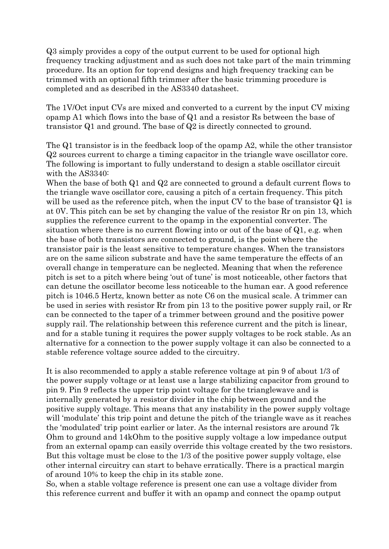Q3 simply provides a copy of the output current to be used for optional high frequency tracking adjustment and as such does not take part of the main trimming procedure. Its an option for top-end designs and high frequency tracking can be trimmed with an optional fifth trimmer after the basic trimming procedure is completed and as described in the AS3340 datasheet.

The 1V/Oct input CVs are mixed and converted to a current by the input CV mixing opamp A1 which flows into the base of Q1 and a resistor Rs between the base of transistor Q1 and ground. The base of Q2 is directly connected to ground.

The Q1 transistor is in the feedback loop of the opamp A2, while the other transistor Q2 sources current to charge a timing capacitor in the triangle wave oscillator core. The following is important to fully understand to design a stable oscillator circuit with the AS3340:

When the base of both Q1 and Q2 are connected to ground a default current flows to the triangle wave oscillator core, causing a pitch of a certain frequency. This pitch will be used as the reference pitch, when the input CV to the base of transistor Q1 is at 0V. This pitch can be set by changing the value of the resistor Rr on pin 13, which supplies the reference current to the opamp in the exponential converter. The situation where there is no current flowing into or out of the base of Q1, e.g. when the base of both transistors are connected to ground, is the point where the transistor pair is the least sensitive to temperature changes. When the transistors are on the same silicon substrate and have the same temperature the effects of an overall change in temperature can be neglected. Meaning that when the reference pitch is set to a pitch where being 'out of tune' is most noticeable, other factors that can detune the oscillator become less noticeable to the human ear. A good reference pitch is 1046.5 Hertz, known better as note C6 on the musical scale. A trimmer can be used in series with resistor Rr from pin 13 to the positive power supply rail, or Rr can be connected to the taper of a trimmer between ground and the positive power supply rail. The relationship between this reference current and the pitch is linear, and for a stable tuning it requires the power supply voltages to be rock stable. As an alternative for a connection to the power supply voltage it can also be connected to a stable reference voltage source added to the circuitry.

It is also recommended to apply a stable reference voltage at pin 9 of about 1/3 of the power supply voltage or at least use a large stabilizing capacitor from ground to pin 9. Pin 9 reflects the upper trip point voltage for the trianglewave and is internally generated by a resistor divider in the chip between ground and the positive supply voltage. This means that any instability in the power supply voltage will 'modulate' this trip point and detune the pitch of the triangle wave as it reaches the 'modulated' trip point earlier or later. As the internal resistors are around 7k Ohm to ground and 14kOhm to the positive supply voltage a low impedance output from an external opamp can easily override this voltage created by the two resistors. But this voltage must be close to the 1/3 of the positive power supply voltage, else other internal circuitry can start to behave erratically. There is a practical margin of around 10% to keep the chip in its stable zone.

So, when a stable voltage reference is present one can use a voltage divider from this reference current and buffer it with an opamp and connect the opamp output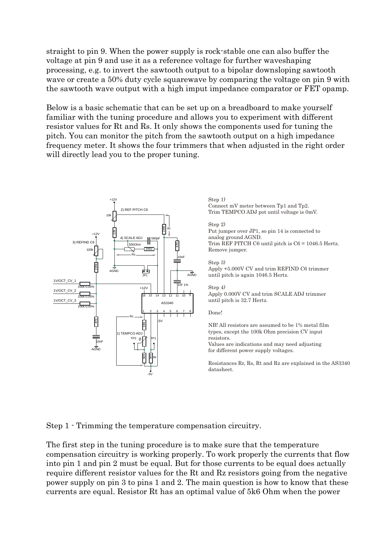straight to pin 9. When the power supply is rock-stable one can also buffer the voltage at pin 9 and use it as a reference voltage for further waveshaping processing, e.g. to invert the sawtooth output to a bipolar downsloping sawtooth wave or create a 50% duty cycle squarewave by comparing the voltage on pin 9 with the sawtooth wave output with a high imput impedance comparator or FET opamp.

Below is a basic schematic that can be set up on a breadboard to make yourself familiar with the tuning procedure and allows you to experiment with different resistor values for Rt and Rs. It only shows the components used for tuning the pitch. You can monitor the pitch from the sawtooth output on a high impedance frequency meter. It shows the four trimmers that when adjusted in the right order will directly lead you to the proper tuning.



#### Step 1) Connect mV meter between Tp1 and Tp2. Trim TEMPCO ADJ pot until voltage is 0mV.

### Step 2)

Put jumper over JP1, so pin 14 is connected to analog ground AGND. Trim REF PITCH C6 until pitch is C6 = 1046.5 Hertz. Remove jumper.

# Step 3)

Apply +5.000V CV and trim REFIND C6 trimmer until pitch is again 1046.5 Hertz.

### Step 4)

Apply 0.000V CV and trim SCALE ADJ trimmer until pitch is 32.7 Hertz.

#### Done!

NB! All resistors are assumed to be 1% metal film types, except the 100k Ohm precision CV input resistors. Values are indications and may need adjusting for different power supply voltages.

Resistances Rr, Rs, Rt and Rz are explained in the AS3340 datasheet.

Step 1 - Trimming the temperature compensation circuitry.

The first step in the tuning procedure is to make sure that the temperature compensation circuitry is working properly. To work properly the currents that flow into pin 1 and pin 2 must be equal. But for those currents to be equal does actually require different resistor values for the Rt and Rz resistors going from the negative power supply on pin 3 to pins 1 and 2. The main question is how to know that these currents are equal. Resistor Rt has an optimal value of 5k6 Ohm when the power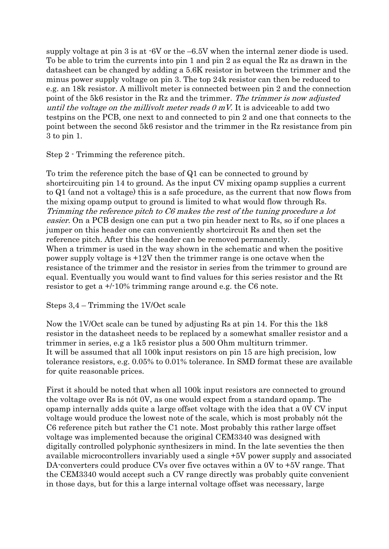supply voltage at pin 3 is at -6V or the –6.5V when the internal zener diode is used. To be able to trim the currents into pin 1 and pin 2 as equal the Rz as drawn in the datasheet can be changed by adding a 5.6K resistor in between the trimmer and the minus power supply voltage on pin 3. The top 24k resistor can then be reduced to e.g. an 18k resistor. A millivolt meter is connected between pin 2 and the connection point of the 5k6 resistor in the Rz and the trimmer. The trimmer is now adjusted until the voltage on the millivolt meter reads  $\theta$  mV. It is adviceable to add two testpins on the PCB, one next to and connected to pin 2 and one that connects to the point between the second 5k6 resistor and the trimmer in the Rz resistance from pin 3 to pin 1.

Step 2 - Trimming the reference pitch.

To trim the reference pitch the base of Q1 can be connected to ground by shortcircuiting pin 14 to ground. As the input CV mixing opamp supplies a current to Q1 (and not a voltage) this is a safe procedure, as the current that now flows from the mixing opamp output to ground is limited to what would flow through Rs. Trimming the reference pitch to C6 makes the rest of the tuning procedure a lot easier. On a PCB design one can put a two pin header next to Rs, so if one places a jumper on this header one can conveniently shortcircuit Rs and then set the reference pitch. After this the header can be removed permanently. When a trimmer is used in the way shown in the schematic and when the positive power supply voltage is +12V then the trimmer range is one octave when the resistance of the trimmer and the resistor in series from the trimmer to ground are equal. Eventually you would want to find values for this series resistor and the Rt resistor to get a +/-10% trimming range around e.g. the C6 note.

## Steps 3,4 – Trimming the 1V/Oct scale

Now the 1V/Oct scale can be tuned by adjusting Rs at pin 14. For this the 1k8 resistor in the datasheet needs to be replaced by a somewhat smaller resistor and a trimmer in series, e.g a 1k5 resistor plus a 500 Ohm multiturn trimmer. It will be assumed that all 100k input resistors on pin 15 are high precision, low tolerance resistors, e.g. 0.05% to 0.01% tolerance. In SMD format these are available for quite reasonable prices.

First it should be noted that when all 100k input resistors are connected to ground the voltage over Rs is nót 0V, as one would expect from a standard opamp. The opamp internally adds quite a large offset voltage with the idea that a 0V CV input voltage would produce the lowest note of the scale, which is most probably nót the C6 reference pitch but rather the C1 note. Most probably this rather large offset voltage was implemented because the original CEM3340 was designed with digitally controlled polyphonic synthesizers in mind. In the late seventies the then available microcontrollers invariably used a single +5V power supply and associated DA-converters could produce CVs over five octaves within a 0V to  $+5V$  range. That the CEM3340 would accept such a CV range directly was probably quite convenient in those days, but for this a large internal voltage offset was necessary, large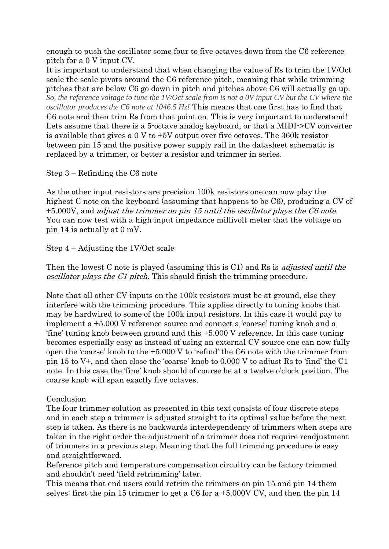enough to push the oscillator some four to five octaves down from the C6 reference pitch for a 0 V input CV.

It is important to understand that when changing the value of Rs to trim the 1V/Oct scale the scale pivots around the C6 reference pitch, meaning that while trimming pitches that are below C6 go down in pitch and pitches above C6 will actually go up. *So, the reference voltage to tune the 1V/Oct scale from is not a 0V input CV but the CV where the oscillator produces the C6 note at 1046.5 Hz!* This means that one first has to find that C6 note and then trim Rs from that point on. This is very important to understand! Lets assume that there is a 5-octave analog keyboard, or that a MIDI->CV converter is available that gives a 0 V to +5V output over five octaves. The 360k resistor between pin 15 and the positive power supply rail in the datasheet schematic is replaced by a trimmer, or better a resistor and trimmer in series.

# Step 3 – Refinding the C6 note

As the other input resistors are precision 100k resistors one can now play the highest C note on the keyboard (assuming that happens to be C6), producing a CV of +5.000V, and adjust the trimmer on pin 15 until the oscillator plays the C6 note. You can now test with a high input impedance millivolt meter that the voltage on pin 14 is actually at 0 mV.

# Step 4 – Adjusting the 1V/Oct scale

Then the lowest C note is played (assuming this is C1) and Rs is *adjusted until the* oscillator plays the C1 pitch. This should finish the trimming procedure.

Note that all other CV inputs on the 100k resistors must be at ground, else they interfere with the trimming procedure. This applies directly to tuning knobs that may be hardwired to some of the 100k input resistors. In this case it would pay to implement a +5.000 V reference source and connect a 'coarse' tuning knob and a 'fine' tuning knob between ground and this +5.000 V reference. In this case tuning becomes especially easy as instead of using an external CV source one can now fully open the 'coarse' knob to the +5.000 V to 'refind' the C6 note with the trimmer from pin 15 to V+, and then close the 'coarse' knob to 0.000 V to adjust Rs to 'find' the C1 note. In this case the 'fine' knob should of course be at a twelve o'clock position. The coarse knob will span exactly five octaves.

# **Conclusion**

The four trimmer solution as presented in this text consists of four discrete steps and in each step a trimmer is adjusted straight to its optimal value before the next step is taken. As there is no backwards interdependency of trimmers when steps are taken in the right order the adjustment of a trimmer does not require readjustment of trimmers in a previous step. Meaning that the full trimming procedure is easy and straightforward.

Reference pitch and temperature compensation circuitry can be factory trimmed and shouldn't need 'field retrimming' later.

This means that end users could retrim the trimmers on pin 15 and pin 14 them selves: first the pin 15 trimmer to get a C6 for a +5.000V CV, and then the pin 14